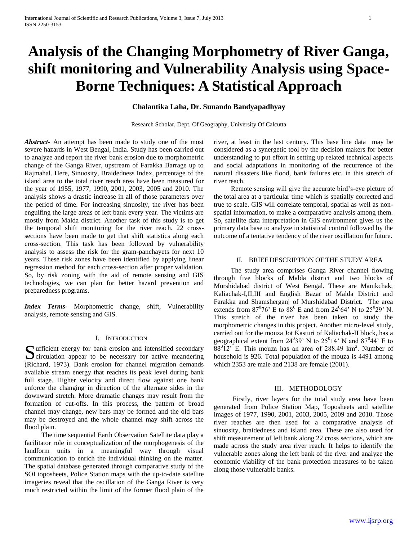# **Analysis of the Changing Morphometry of River Ganga, shift monitoring and Vulnerability Analysis using Space-Borne Techniques: A Statistical Approach**

### **Chalantika Laha, Dr. Sunando Bandyapadhyay**

Research Scholar, Dept. Of Geography, University Of Calcutta

*Abstract***-** An attempt has been made to study one of the most severe hazards in West Bengal, India. Study has been carried out to analyze and report the river bank erosion due to morphometric change of the Ganga River, upstream of Farakka Barrage up to Rajmahal. Here, Sinuosity, Braidedness Index, percentage of the island area to the total river reach area have been measured for the year of 1955, 1977, 1990, 2001, 2003, 2005 and 2010. The analysis shows a drastic increase in all of those parameters over the period of time. For increasing sinuosity, the river has been engulfing the large areas of left bank every year. The victims are mostly from Malda district. Another task of this study is to get the temporal shift monitoring for the river reach. 22 crosssections have been made to get that shift statistics along each cross-section. This task has been followed by vulnerability analysis to assess the risk for the gram-panchayets for next 10 years. These risk zones have been identified by applying linear regression method for each cross-section after proper validation. So, by risk zoning with the aid of remote sensing and GIS technologies, we can plan for better hazard prevention and preparedness programs.

*Index Terms*- Morphometric change, shift, Vulnerability analysis, remote sensing and GIS.

### I. INTRODUCTION

ufficient energy for bank erosion and intensified secondary Sufficient energy for bank erosion and intensified secondary<br>circulation appear to be necessary for active meandering (Richard, 1973). Bank erosion for channel migration demands available stream energy that reaches its peak level during bank full stage. Higher velocity and direct flow against one bank enforce the changing in direction of the alternate sides in the downward stretch. More dramatic changes may result from the formation of cut-offs. In this process, the pattern of broad channel may change, new bars may be formed and the old bars may be destroyed and the whole channel may shift across the flood plain.

 The time sequential Earth Observation Satellite data play a facilitator role in conceptualization of the morphogenesis of the landform units in a meaningful way through visual communication to enrich the individual thinking on the matter. The spatial database generated through comparative study of the SOI toposheets, Police Station maps with the up-to-date satellite imageries reveal that the oscillation of the Ganga River is very much restricted within the limit of the former flood plain of the

river, at least in the last century. This base line data may be considered as a synergetic tool by the decision makers for better understanding to put effort in setting up related technical aspects and social adaptations in monitoring of the recurrence of the natural disasters like flood, bank failures etc. in this stretch of river reach.

 Remote sensing will give the accurate bird's-eye picture of the total area at a particular time which is spatially corrected and true to scale. GIS will correlate temporal, spatial as well as nonspatial information, to make a comparative analysis among them. So, satellite data interpretation in GIS environment gives us the primary data base to analyze in statistical control followed by the outcome of a tentative tendency of the river oscillation for future.

### II. BRIEF DESCRIPTION OF THE STUDY AREA

 The study area comprises Ganga River channel flowing through five blocks of Malda district and two blocks of Murshidabad district of West Bengal. These are Manikchak, Kaliachak-I,II,III and English Bazar of Malda District and Farakka and Shamsherganj of Murshidabad District. The area extends from  $87^{\circ}76$ ' E to  $88^{\circ}$  E and from  $24^{\circ}64$ ' N to  $25^{\circ}29$ ' N. This stretch of the river has been taken to study the morphometric changes in this project. Another micro-level study, carried out for the mouza Jot Kasturi of Kaliachak-II block, has a geographical extent from  $24^039'$  N to  $25^014'$  N and  $87^044'$  E to  $88^012$ <sup>2</sup> E. This mouza has an area of 288.49 km<sup>2</sup>. Number of household is 926. Total population of the mouza is 4491 among which 2353 are male and 2138 are female (2001).

### III. METHODOLOGY

 Firstly, river layers for the total study area have been generated from Police Station Map, Toposheets and satellite images of 1977, 1990, 2001, 2003, 2005, 2009 and 2010. Those river reaches are then used for a comparative analysis of sinuosity, braidedness and island area. These are also used for shift measurement of left bank along 22 cross sections, which are made across the study area river reach. It helps to identify the vulnerable zones along the left bank of the river and analyze the economic viability of the bank protection measures to be taken along those vulnerable banks.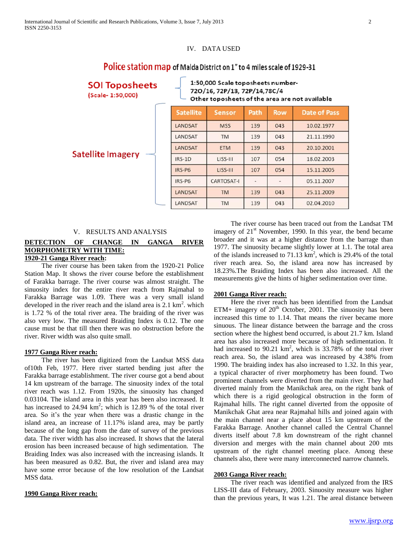### IV. DATA USED

## Police station map of Malda District on 1" to 4 miles scale of 1929-31

| <b>SOI Toposheets</b><br>(Scale- 1:50,000) | 1:50,000 Scale toposheets number-<br>720/16, 72P/13, 72P/14,78C/4<br>Other toposheets of the area are not available |                   |      |            |                     |  |  |
|--------------------------------------------|---------------------------------------------------------------------------------------------------------------------|-------------------|------|------------|---------------------|--|--|
|                                            | <b>Satellite</b>                                                                                                    | <b>Sensor</b>     | Path | <b>Row</b> | <b>Date of Pass</b> |  |  |
|                                            | LANDSAT                                                                                                             | <b>MSS</b>        | 139  | 043        | 10.02.1977          |  |  |
|                                            | LANDSAT                                                                                                             | TM                | 139  | 043        | 21.11.1990          |  |  |
|                                            | LANDSAT                                                                                                             | <b>ETM</b>        | 139  | 043        | 20.10.2001          |  |  |
| <b>Satellite Imagery</b>                   | IRS-1D                                                                                                              | LISS-III          | 107  | 054        | 18.02.2003          |  |  |
|                                            | IRS-P6                                                                                                              | LISS-III          | 107  | 054        | 15.11.2005          |  |  |
|                                            | IRS-P6                                                                                                              | <b>CARTOSAT-I</b> |      |            | 05.11.2007          |  |  |
|                                            | LANDSAT                                                                                                             | <b>TM</b>         | 139  | 043        | 25.11.2009          |  |  |
|                                            | LANDSAT                                                                                                             | <b>TM</b>         | 139  | 043        | 02.04.2010          |  |  |

### V. RESULTS AND ANALYSIS

### **DETECTION OF CHANGE IN GANGA RIVER MORPHOMETRY WITH TIME:**

### **1920-21 Ganga River reach:**

 The river course has been taken from the 1920-21 Police Station Map. It shows the river course before the establishment of Farakka barrage. The river course was almost straight. The sinuosity index for the entire river reach from Rajmahal to Farakka Barrage was 1.09. There was a very small island developed in the river reach and the island area is  $2.1 \text{ km}^2$ . which is 1.72 % of the total river area. The braiding of the river was also very low. The measured Braiding Index is 0.12. The one cause must be that till then there was no obstruction before the river. River width was also quite small.

### **1977 Ganga River reach:**

 The river has been digitized from the Landsat MSS data of10th Feb, 1977. Here river started bending just after the Farakka barrage establishment. The river course got a bend about 14 km upstream of the barrage. The sinuosity index of the total river reach was 1.12. From 1920s, the sinuosity has changed 0.03104. The island area in this year has been also increased. It has increased to  $24.94 \text{ km}^2$ ; which is 12.89 % of the total river area. So it's the year when there was a drastic change in the island area, an increase of 11.17% island area, may be partly because of the long gap from the date of survey of the previous data. The river width has also increased. It shows that the lateral erosion has been increased because of high sedimentation. The Braiding Index was also increased with the increasing islands. It has been measured as 0.82. But, the river and island area may have some error because of the low resolution of the Landsat MSS data.

### **1990 Ganga River reach:**

 The river course has been traced out from the Landsat TM imagery of  $21<sup>st</sup>$  November, 1990. In this year, the bend became broader and it was at a higher distance from the barrage than 1977. The sinuosity became slightly lower at 1.1. The total area of the islands increased to  $71.13 \text{ km}^2$ , which is 29.4% of the total river reach area. So, the island area now has increased by 18.23%.The Braiding Index has been also increased. All the measurements give the hints of higher sedimentation over time.

### **2001 Ganga River reach:**

 Here the river reach has been identified from the Landsat ETM+ imagery of  $20<sup>th</sup>$  October, 2001. The sinuosity has been increased this time to 1.14. That means the river became more sinuous. The linear distance between the barrage and the cross section where the highest bend occurred, is about 21.7 km. Island area has also increased more because of high sedimentation. It had increased to 90.21  $km^2$ , which is 33.78% of the total river reach area. So, the island area was increased by 4.38% from 1990. The braiding index has also increased to 1.32. In this year, a typical character of river morphometry has been found. Two prominent channels were diverted from the main river. They had diverted mainly from the Manikchak area, on the right bank of which there is a rigid geological obstruction in the form of Rajmahal hills. The right cannel diverted from the opposite of Manikchak Ghat area near Rajmahal hills and joined again with the main channel near a place about 15 km upstream of the Farakka Barrage. Another channel called the Central Channel diverts itself about 7.8 km downstream of the right channel diversion and merges with the main channel about 200 mts upstream of the right channel meeting place. Among these channels also, there were many interconnected narrow channels.

### **2003 Ganga River reach:**

 The river reach was identified and analyzed from the IRS LISS-III data of February, 2003. Sinuosity measure was higher than the previous years, It was 1.21. The areal distance between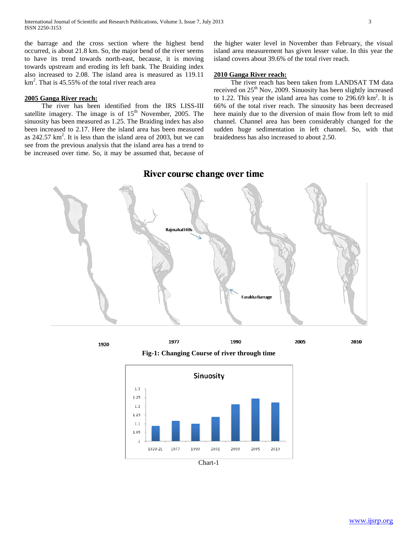the barrage and the cross section where the highest bend occurred, is about 21.8 km. So, the major bend of the river seems to have its trend towards north-east, because, it is moving towards upstream and eroding its left bank. The Braiding index also increased to 2.08. The island area is measured as 119.11  $km<sup>2</sup>$ . That is 45.55% of the total river reach area

### **2005 Ganga River reach:**

 The river has been identified from the IRS LISS-III satellite imagery. The image is of  $15<sup>th</sup>$  November, 2005. The sinuosity has been measured as 1.25. The Braiding index has also been increased to 2.17. Here the island area has been measured as  $242.57 \text{ km}^2$ . It is less than the island area of 2003, but we can see from the previous analysis that the island area has a trend to be increased over time. So, it may be assumed that, because of

1920

the higher water level in November than February, the visual island area measurement has given lesser value. In this year the island covers about 39.6% of the total river reach.

### **2010 Ganga River reach:**

 The river reach has been taken from LANDSAT TM data received on 25<sup>th</sup> Nov, 2009. Sinuosity has been slightly increased to 1.22. This year the island area has come to  $296.69 \text{ km}^2$ . It is 66% of the total river reach. The sinuosity has been decreased here mainly due to the diversion of main flow from left to mid channel. Channel area has been considerably changed for the sudden huge sedimentation in left channel. So, with that braidedness has also increased to about 2.50.

# **Raimahal Hills** Farakka Barrage

### River course change over time

1977 1990 2005 **Fig-1: Changing Course of river through time**



2010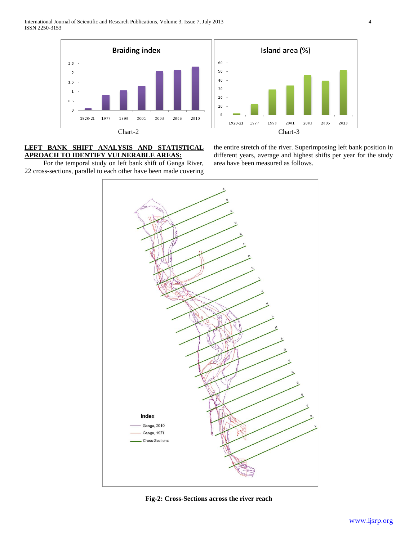



### **LEFT BANK SHIFT ANALYSIS AND STATISTICAL APROACH TO IDENTIFY VULNERABLE AREAS:**

 For the temporal study on left bank shift of Ganga River, 22 cross-sections, parallel to each other have been made covering the entire stretch of the river. Superimposing left bank position in different years, average and highest shifts per year for the study area have been measured as follows.



**Fig-2: Cross-Sections across the river reach**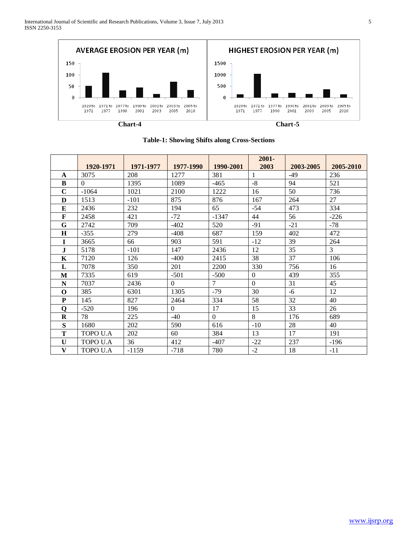

|              |           |           |                  |                | $2001 -$       |           |           |
|--------------|-----------|-----------|------------------|----------------|----------------|-----------|-----------|
|              | 1920-1971 | 1971-1977 | 1977-1990        | 1990-2001      | 2003           | 2003-2005 | 2005-2010 |
| A            | 3075      | 208       | 1277             | 381            | 1              | $-49$     | 236       |
| B            | $\Omega$  | 1395      | 1089             | $-465$         | $-8$           | 94        | 521       |
| $\mathbf C$  | $-1064$   | 1021      | 2100             | 1222           | 16             | 50        | 736       |
| D            | 1513      | $-101$    | 875              | 876            | 167            | 264       | 27        |
| E            | 2436      | 232       | 194              | 65             | $-54$          | 473       | 334       |
| F            | 2458      | 421       | $-72$            | $-1347$        | 44             | 56        | $-226$    |
| G            | 2742      | 709       | $-402$           | 520            | $-91$          | $-21$     | $-78$     |
| $\bf H$      | $-355$    | 279       | $-408$           | 687            | 159            | 402       | 472       |
| I            | 3665      | 66        | 903              | 591            | $-12$          | 39        | 264       |
| $\mathbf J$  | 5178      | $-101$    | 147              | 2436           | 12             | 35        | 3         |
| $\mathbf K$  | 7120      | 126       | $-400$           | 2415           | 38             | 37        | 106       |
| L            | 7078      | 350       | 201              | 2200           | 330            | 756       | 16        |
| M            | 7335      | 619       | $-501$           | $-500$         | $\overline{0}$ | 439       | 355       |
| N            | 7037      | 2436      | $\Omega$         | $\overline{7}$ | $\mathbf{0}$   | 31        | 45        |
| $\Omega$     | 385       | 6301      | 1305             | $-79$          | 30             | $-6$      | 12        |
| ${\bf P}$    | 145       | 827       | 2464             | 334            | 58             | 32        | 40        |
| Q            | $-520$    | 196       | $\boldsymbol{0}$ | 17             | 15             | 33        | 26        |
| $\mathbf R$  | 78        | 225       | $-40$            | $\theta$       | 8              | 176       | 689       |
| S            | 1680      | 202       | 590              | 616            | $-10$          | 28        | 40        |
| Т            | TOPO U.A  | 202       | 60               | 384            | 13             | 17        | 191       |
| $\mathbf{U}$ | TOPO U.A  | 36        | 412              | $-407$         | $-22$          | 237       | $-196$    |
| V            | TOPO U.A  | $-1159$   | $-718$           | 780            | $-2$           | 18        | $-11$     |

### **Table-1: Showing Shifts along Cross-Sections**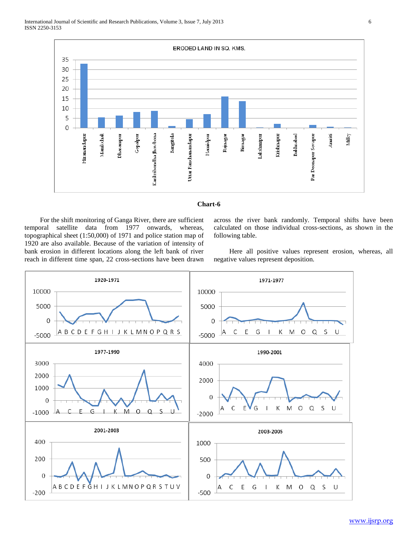

### **Chart-6**

 For the shift monitoring of Ganga River, there are sufficient temporal satellite data from 1977 onwards, whereas, topographical sheet (1:50,000) of 1971 and police station map of 1920 are also available. Because of the variation of intensity of bank erosion in different locations along the left bank of river reach in different time span, 22 cross-sections have been drawn across the river bank randomly. Temporal shifts have been calculated on those individual cross-sections, as shown in the following table.

 Here all positive values represent erosion, whereas, all negative values represent deposition.

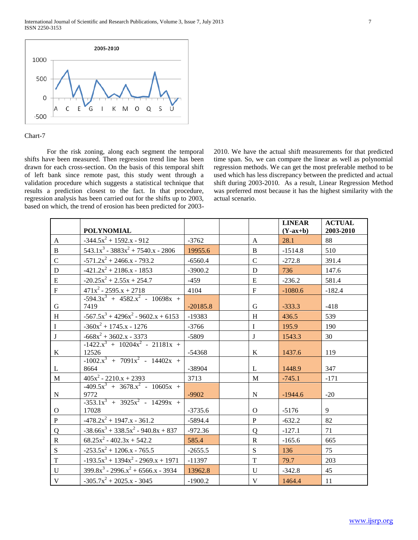International Journal of Scientific and Research Publications, Volume 3, Issue 7, July 2013 7 ISSN 2250-3153



### Chart-7

 For the risk zoning, along each segment the temporal shifts have been measured. Then regression trend line has been drawn for each cross-section. On the basis of this temporal shift of left bank since remote past, this study went through a validation procedure which suggests a statistical technique that results a prediction closest to the fact. In that procedure, regression analysis has been carried out for the shifts up to 2003, based on which, the trend of erosion has been predicted for 20032010. We have the actual shift measurements for that predicted time span. So, we can compare the linear as well as polynomial regression methods. We can get the most preferable method to be used which has less discrepancy between the predicted and actual shift during 2003-2010. As a result, Linear Regression Method was preferred most because it has the highest similarity with the actual scenario.

|              | <b>POLYNOMIAL</b>                              |            |                | <b>LINEAR</b><br>$(Y-ax+b)$ | <b>ACTUAL</b><br>2003-2010 |
|--------------|------------------------------------------------|------------|----------------|-----------------------------|----------------------------|
| A            | $-344.5x^2 + 1592.x - 912$                     | $-3762$    | A              | 28.1                        | 88                         |
| $\mathbf{B}$ | $543.1x^3 - 3883x^2 + 7540.x - 2806$           | 19955.6    | $\mathbf{B}$   | $-1514.8$                   | 510                        |
| $\mathbf C$  | $-571.2x^2 + 2466.x - 793.2$                   | $-6560.4$  | $\mathcal{C}$  | $-272.8$                    | 391.4                      |
| D            | $-421.2x^2 + 2186.x - 1853$                    | $-3900.2$  | D              | 736                         | 147.6                      |
| ${\bf E}$    | $-20.25x^{2} + 2.55x + 254.7$                  | $-459$     | ${\bf E}$      | $-236.2$                    | 581.4                      |
| ${\bf F}$    | $471x^2 - 2595.x + 2718$                       | 4104       | ${\bf F}$      | $-1080.6$                   | $-182.4$                   |
| $\mathbf G$  | $-594.3x^{3} + 4582.x^{2} - 10698x +$<br>7419  | $-20185.8$ | G              | $-333.3$                    | $-418$                     |
| H            | $-567.5x^3 + 4296x^2 - 9602.x + 6153$          | $-19383$   | H              | 436.5                       | 539                        |
| $\mathbf I$  | $-360x^2 + 1745.x - 1276$                      | $-3766$    | $\mathbf{I}$   | 195.9                       | 190                        |
| $\mathbf{J}$ | $-668x^2 + 3602.x - 3373$                      | $-5809$    | $\bf J$        | 1543.3                      | 30                         |
| $\bf K$      | $-1422.x^{3} + 10204x^{2} - 21181x +$<br>12526 | $-54368$   | K              | 1437.6                      | 119                        |
| L            | $-1002.x^{3} + 7091x^{2} - 14402x +$<br>8664   | -38904     | L              | 1448.9                      | 347                        |
| M            | $405x^2 - 2210x + 2393$                        | 3713       | M              | $-745.1$                    | $-171$                     |
| N            | $-409.5x^{3} + 3678.x^{2} - 10605x +$<br>9772  | $-9902$    | N              | $-1944.6$                   | $-20$                      |
| $\mathbf{O}$ | $-353.1x^{3} + 3925x^{2} - 14299x +$<br>17028  | $-3735.6$  | $\Omega$       | $-5176$                     | 9                          |
| $\mathbf{P}$ | $-478.2x^{2} + 1947.x - 361.2$                 | $-5894.4$  | $\mathbf{P}$   | $-632.2$                    | 82                         |
| Q            | $-38.66x^3 + 338.5x^2 - 940.8x + 837$          | $-972.36$  | $\mathbf Q$    | $-127.1$                    | 71                         |
| $\mathbf R$  | $68.25x^2 - 402.3x + 542.2$                    | 585.4      | $\mathbf R$    | $-165.6$                    | 665                        |
| S            | $-253.5x^{2} + 1206.x - 765.5$                 | $-2655.5$  | $\mathbf S$    | 136                         | 75                         |
| $\mathbf T$  | $-193.5x^3 + 1394x^2 - 2969.x + 1971$          | $-11397$   | $\overline{T}$ | 79.7                        | 203                        |
| U            | $399.8x^3 - 2996.x^2 + 6566.x - 3934$          | 13962.8    | $\mathbf{U}$   | $-342.8$                    | 45                         |
| V            | $-305.7x^{2} + 2025.x - 3045$                  | $-1900.2$  | $\mathbf{V}$   | 1464.4                      | 11                         |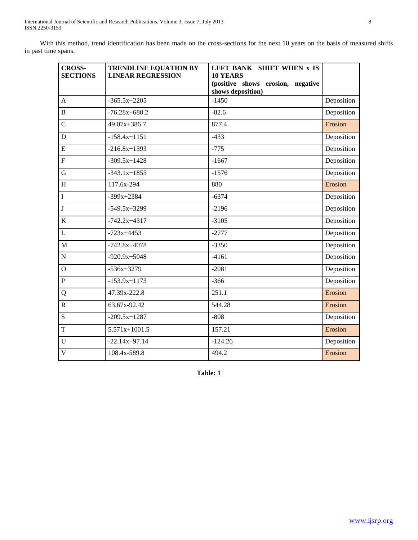With this method, trend identification has been made on the cross-sections for the next 10 years on the basis of measured shifts in past time spans.

| <b>CROSS-</b><br><b>SECTIONS</b> | <b>TRENDLINE EQUATION BY</b><br><b>LINEAR REGRESSION</b> | LEFT BANK SHIFT WHEN x IS<br><b>10 YEARS</b><br>(positive shows erosion, negative<br>shows deposition) |            |
|----------------------------------|----------------------------------------------------------|--------------------------------------------------------------------------------------------------------|------------|
| $\overline{A}$                   | $-365.5x+2205$                                           | $-1450$                                                                                                | Deposition |
| $\bf{B}$                         | $-76.28x + 680.2$                                        | $-82.6$                                                                                                | Deposition |
| $\mathsf{C}$                     | 49.07x+386.7                                             | 877.4                                                                                                  | Erosion    |
| D                                | $-158.4x+1151$                                           | $-433$                                                                                                 | Deposition |
| $\overline{E}$                   | $-216.8x+1393$                                           | $-775$                                                                                                 | Deposition |
| $\overline{F}$                   | $-309.5x+1428$                                           | $-1667$                                                                                                | Deposition |
| $\mathbf G$                      | $-343.1x+1855$                                           | $-1576$                                                                                                | Deposition |
| H                                | 117.6x-294                                               | 880                                                                                                    | Erosion    |
| $\mathbf I$                      | $-399x+2384$                                             | $-6374$                                                                                                | Deposition |
| $\mathbf{J}$                     | $-549.5x+3299$                                           | $-2196$                                                                                                | Deposition |
| $\bf K$                          | $-742.2x+4317$                                           | $-3105$                                                                                                | Deposition |
| $\overline{L}$                   | $-723x+4453$                                             | $-2777$                                                                                                | Deposition |
| $\overline{M}$                   | $-742.8x+4078$                                           | $-3350$                                                                                                | Deposition |
| $\overline{N}$                   | $-920.9x+5048$                                           | $-4161$                                                                                                | Deposition |
| $\mathbf O$                      | $-536x+3279$                                             | $-2081$                                                                                                | Deposition |
| $\overline{P}$                   | $-153.9x+1173$                                           | $-366$                                                                                                 | Deposition |
| Q                                | 47.39x-222.8                                             | 251.1                                                                                                  | Erosion    |
| $\mathbf R$                      | 63.67x-92.42                                             | 544.28                                                                                                 | Erosion    |
| ${\bf S}$                        | $-209.5x+1287$                                           | $-808$                                                                                                 | Deposition |
| $\overline{T}$                   | $5.571x+1001.5$                                          | 157.21                                                                                                 | Erosion    |
| $\mathbf U$                      | $-22.14x+97.14$                                          | $-124.26$                                                                                              | Deposition |
| $\overline{\mathbf{V}}$          | 108.4x-589.8                                             | 494.2                                                                                                  | Erosion    |

**Table: 1**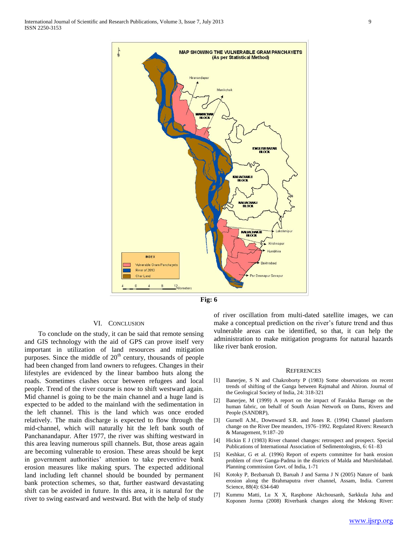



### VI. CONCLUSION

 To conclude on the study, it can be said that remote sensing and GIS technology with the aid of GPS can prove itself very important in utilization of land resources and mitigation purposes. Since the middle of  $20<sup>th</sup>$  century, thousands of people had been changed from land owners to refugees. Changes in their lifestyles are evidenced by the linear bamboo huts along the roads. Sometimes clashes occur between refugees and local people. Trend of the river course is now to shift westward again. Mid channel is going to be the main channel and a huge land is expected to be added to the mainland with the sedimentation in the left channel. This is the land which was once eroded relatively. The main discharge is expected to flow through the mid-channel, which will naturally hit the left bank south of Panchanandapur. After 1977, the river was shifting westward in this area leaving numerous spill channels. But, those areas again are becoming vulnerable to erosion. These areas should be kept in government authorities' attention to take preventive bank erosion measures like making spurs. The expected additional land including left channel should be bounded by permanent bank protection schemes, so that, further eastward devastating shift can be avoided in future. In this area, it is natural for the river to swing eastward and westward. But with the help of study of river oscillation from multi-dated satellite images, we can make a conceptual prediction on the river's future trend and thus vulnerable areas can be identified, so that, it can help the administration to make mitigation programs for natural hazards like river bank erosion.

### **REFERENCES**

- [1] Banerjee, S N and Chakroborty P (1983) Some observations on recent trends of shifting of the Ganga between Rajmahal and Ahiron. Journal of the Geological Society of India, 24: 318-321
- [2] Banerjee, M (1999) A report on the impact of Farakka Barrage on the human fabric, on behalf of South Asian Network on Dams, Rivers and People (SANDRP),
- [3] Gurnell A.M., Downward S.R. and Jones R. (1994) Channel planform change on the River Dee meanders, 1976–1992. Regulated Rivers: Research & Management, 9:187–20
- [4] Hickin E J (1983) River channel changes: retrospect and prospect. Special Publications of International Association of Sedimentologists, 6: 61–83
- [5] Keshkar, G et al. (1996) Report of experts committee for bank erosion problem of river Ganga-Padma in the districts of Malda and Murshidabad. Planning commission Govt. of India, 1-71
- [6] Kotoky P, Bezbaruah D, Baruah J and Sarma J N (2005) Nature of bank erosion along the Brahmaputra river channel, Assam, India. Current Science, 88(4): 634-640
- [7] Kummu Matti, Lu X X, Rasphone Akchousanh, Sarkkula Juha and Koponen Jorma (2008) Riverbank changes along the Mekong River: